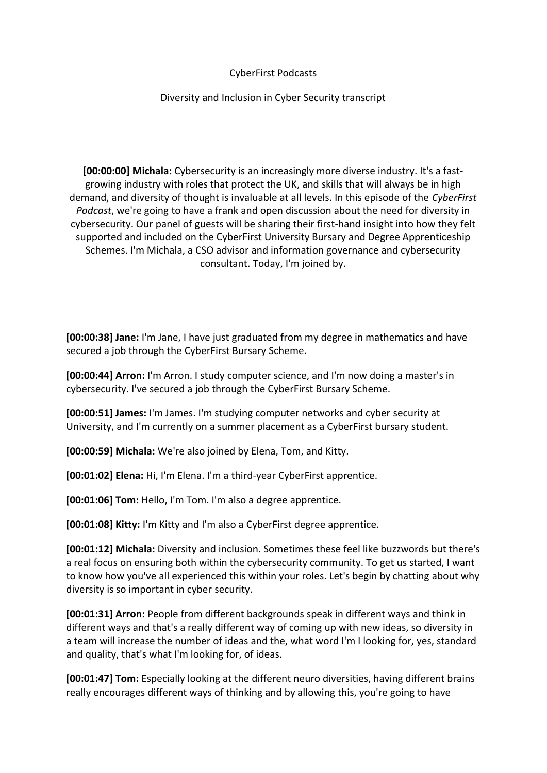## CyberFirst Podcasts

## Diversity and Inclusion in Cyber Security transcript

**[00:00:00] Michala:** Cybersecurity is an increasingly more diverse industry. It's a fastgrowing industry with roles that protect the UK, and skills that will always be in high demand, and diversity of thought is invaluable at all levels. In this episode of the *CyberFirst Podcast*, we're going to have a frank and open discussion about the need for diversity in cybersecurity. Our panel of guests will be sharing their first-hand insight into how they felt supported and included on the CyberFirst University Bursary and Degree Apprenticeship Schemes. I'm Michala, a CSO advisor and information governance and cybersecurity consultant. Today, I'm joined by.

**[00:00:38] Jane:** I'm Jane, I have just graduated from my degree in mathematics and have secured a job through the CyberFirst Bursary Scheme.

**[00:00:44] Arron:** I'm Arron. I study computer science, and I'm now doing a master's in cybersecurity. I've secured a job through the CyberFirst Bursary Scheme.

**[00:00:51] James:** I'm James. I'm studying computer networks and cyber security at University, and I'm currently on a summer placement as a CyberFirst bursary student.

**[00:00:59] Michala:** We're also joined by Elena, Tom, and Kitty.

**[00:01:02] Elena:** Hi, I'm Elena. I'm a third-year CyberFirst apprentice.

**[00:01:06] Tom:** Hello, I'm Tom. I'm also a degree apprentice.

**[00:01:08] Kitty:** I'm Kitty and I'm also a CyberFirst degree apprentice.

**[00:01:12] Michala:** Diversity and inclusion. Sometimes these feel like buzzwords but there's a real focus on ensuring both within the cybersecurity community. To get us started, I want to know how you've all experienced this within your roles. Let's begin by chatting about why diversity is so important in cyber security.

**[00:01:31] Arron:** People from different backgrounds speak in different ways and think in different ways and that's a really different way of coming up with new ideas, so diversity in a team will increase the number of ideas and the, what word I'm I looking for, yes, standard and quality, that's what I'm looking for, of ideas.

**[00:01:47] Tom:** Especially looking at the different neuro diversities, having different brains really encourages different ways of thinking and by allowing this, you're going to have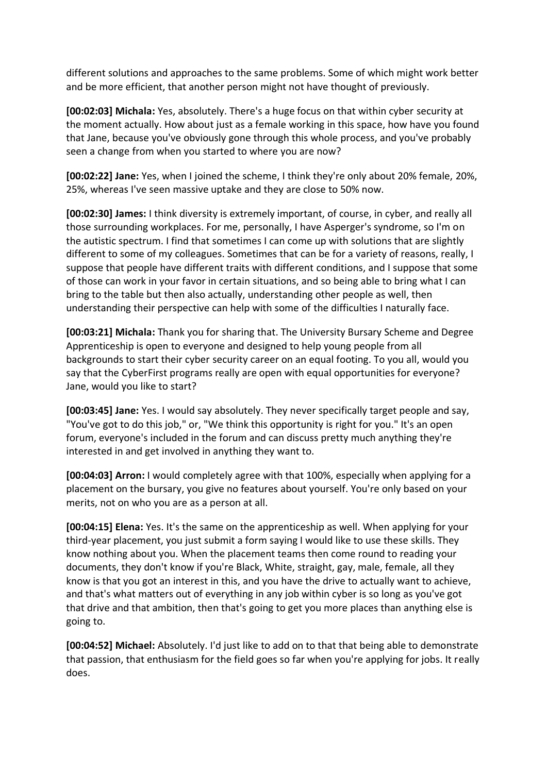different solutions and approaches to the same problems. Some of which might work better and be more efficient, that another person might not have thought of previously.

**[00:02:03] Michala:** Yes, absolutely. There's a huge focus on that within cyber security at the moment actually. How about just as a female working in this space, how have you found that Jane, because you've obviously gone through this whole process, and you've probably seen a change from when you started to where you are now?

**[00:02:22] Jane:** Yes, when I joined the scheme, I think they're only about 20% female, 20%, 25%, whereas I've seen massive uptake and they are close to 50% now.

**[00:02:30] James:** I think diversity is extremely important, of course, in cyber, and really all those surrounding workplaces. For me, personally, I have Asperger's syndrome, so I'm on the autistic spectrum. I find that sometimes I can come up with solutions that are slightly different to some of my colleagues. Sometimes that can be for a variety of reasons, really, I suppose that people have different traits with different conditions, and I suppose that some of those can work in your favor in certain situations, and so being able to bring what I can bring to the table but then also actually, understanding other people as well, then understanding their perspective can help with some of the difficulties I naturally face.

**[00:03:21] Michala:** Thank you for sharing that. The University Bursary Scheme and Degree Apprenticeship is open to everyone and designed to help young people from all backgrounds to start their cyber security career on an equal footing. To you all, would you say that the CyberFirst programs really are open with equal opportunities for everyone? Jane, would you like to start?

**[00:03:45] Jane:** Yes. I would say absolutely. They never specifically target people and say, "You've got to do this job," or, "We think this opportunity is right for you." It's an open forum, everyone's included in the forum and can discuss pretty much anything they're interested in and get involved in anything they want to.

**[00:04:03] Arron:** I would completely agree with that 100%, especially when applying for a placement on the bursary, you give no features about yourself. You're only based on your merits, not on who you are as a person at all.

**[00:04:15] Elena:** Yes. It's the same on the apprenticeship as well. When applying for your third-year placement, you just submit a form saying I would like to use these skills. They know nothing about you. When the placement teams then come round to reading your documents, they don't know if you're Black, White, straight, gay, male, female, all they know is that you got an interest in this, and you have the drive to actually want to achieve, and that's what matters out of everything in any job within cyber is so long as you've got that drive and that ambition, then that's going to get you more places than anything else is going to.

**[00:04:52] Michael:** Absolutely. I'd just like to add on to that that being able to demonstrate that passion, that enthusiasm for the field goes so far when you're applying for jobs. It really does.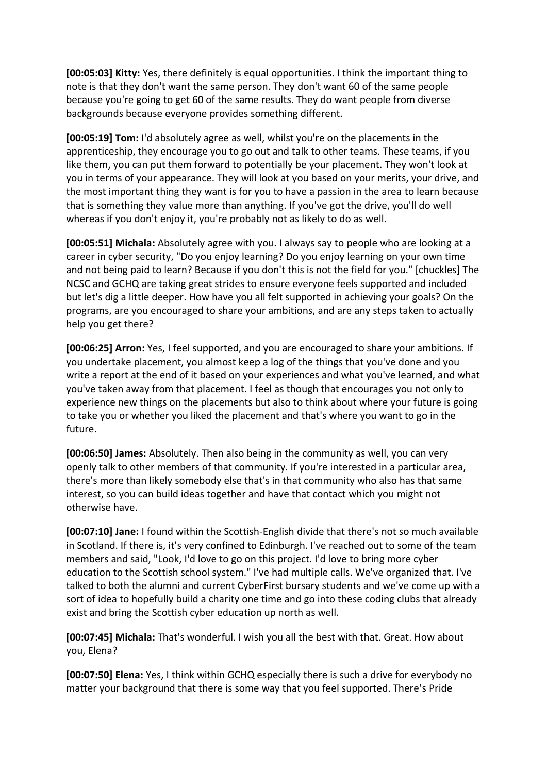**[00:05:03] Kitty:** Yes, there definitely is equal opportunities. I think the important thing to note is that they don't want the same person. They don't want 60 of the same people because you're going to get 60 of the same results. They do want people from diverse backgrounds because everyone provides something different.

**[00:05:19] Tom:** I'd absolutely agree as well, whilst you're on the placements in the apprenticeship, they encourage you to go out and talk to other teams. These teams, if you like them, you can put them forward to potentially be your placement. They won't look at you in terms of your appearance. They will look at you based on your merits, your drive, and the most important thing they want is for you to have a passion in the area to learn because that is something they value more than anything. If you've got the drive, you'll do well whereas if you don't enjoy it, you're probably not as likely to do as well.

**[00:05:51] Michala:** Absolutely agree with you. I always say to people who are looking at a career in cyber security, "Do you enjoy learning? Do you enjoy learning on your own time and not being paid to learn? Because if you don't this is not the field for you." [chuckles] The NCSC and GCHQ are taking great strides to ensure everyone feels supported and included but let's dig a little deeper. How have you all felt supported in achieving your goals? On the programs, are you encouraged to share your ambitions, and are any steps taken to actually help you get there?

**[00:06:25] Arron:** Yes, I feel supported, and you are encouraged to share your ambitions. If you undertake placement, you almost keep a log of the things that you've done and you write a report at the end of it based on your experiences and what you've learned, and what you've taken away from that placement. I feel as though that encourages you not only to experience new things on the placements but also to think about where your future is going to take you or whether you liked the placement and that's where you want to go in the future.

**[00:06:50] James:** Absolutely. Then also being in the community as well, you can very openly talk to other members of that community. If you're interested in a particular area, there's more than likely somebody else that's in that community who also has that same interest, so you can build ideas together and have that contact which you might not otherwise have.

**[00:07:10] Jane:** I found within the Scottish-English divide that there's not so much available in Scotland. If there is, it's very confined to Edinburgh. I've reached out to some of the team members and said, "Look, I'd love to go on this project. I'd love to bring more cyber education to the Scottish school system." I've had multiple calls. We've organized that. I've talked to both the alumni and current CyberFirst bursary students and we've come up with a sort of idea to hopefully build a charity one time and go into these coding clubs that already exist and bring the Scottish cyber education up north as well.

**[00:07:45] Michala:** That's wonderful. I wish you all the best with that. Great. How about you, Elena?

**[00:07:50] Elena:** Yes, I think within GCHQ especially there is such a drive for everybody no matter your background that there is some way that you feel supported. There's Pride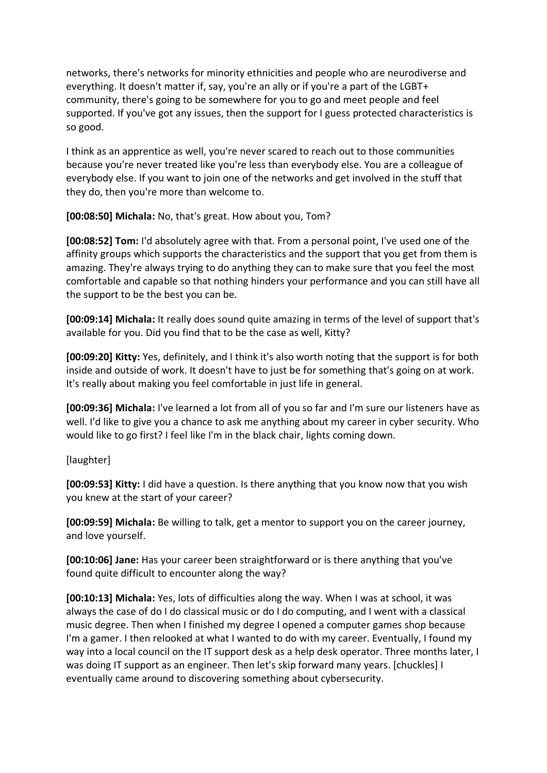networks, there's networks for minority ethnicities and people who are neurodiverse and everything. It doesn't matter if, say, you're an ally or if you're a part of the LGBT+ community, there's going to be somewhere for you to go and meet people and feel supported. If you've got any issues, then the support for I guess protected characteristics is so good.

I think as an apprentice as well, you're never scared to reach out to those communities because you're never treated like you're less than everybody else. You are a colleague of everybody else. If you want to join one of the networks and get involved in the stuff that they do, then you're more than welcome to.

**[00:08:50] Michala:** No, that's great. How about you, Tom?

**[00:08:52] Tom:** I'd absolutely agree with that. From a personal point, I've used one of the affinity groups which supports the characteristics and the support that you get from them is amazing. They're always trying to do anything they can to make sure that you feel the most comfortable and capable so that nothing hinders your performance and you can still have all the support to be the best you can be.

**[00:09:14] Michala:** It really does sound quite amazing in terms of the level of support that's available for you. Did you find that to be the case as well, Kitty?

**[00:09:20] Kitty:** Yes, definitely, and I think it's also worth noting that the support is for both inside and outside of work. It doesn't have to just be for something that's going on at work. It's really about making you feel comfortable in just life in general.

**[00:09:36] Michala:** I've learned a lot from all of you so far and I'm sure our listeners have as well. I'd like to give you a chance to ask me anything about my career in cyber security. Who would like to go first? I feel like I'm in the black chair, lights coming down.

[laughter]

**[00:09:53] Kitty:** I did have a question. Is there anything that you know now that you wish you knew at the start of your career?

**[00:09:59] Michala:** Be willing to talk, get a mentor to support you on the career journey, and love yourself.

**[00:10:06] Jane:** Has your career been straightforward or is there anything that you've found quite difficult to encounter along the way?

**[00:10:13] Michala:** Yes, lots of difficulties along the way. When I was at school, it was always the case of do I do classical music or do I do computing, and I went with a classical music degree. Then when I finished my degree I opened a computer games shop because I'm a gamer. I then relooked at what I wanted to do with my career. Eventually, I found my way into a local council on the IT support desk as a help desk operator. Three months later, I was doing IT support as an engineer. Then let's skip forward many years. [chuckles] I eventually came around to discovering something about cybersecurity.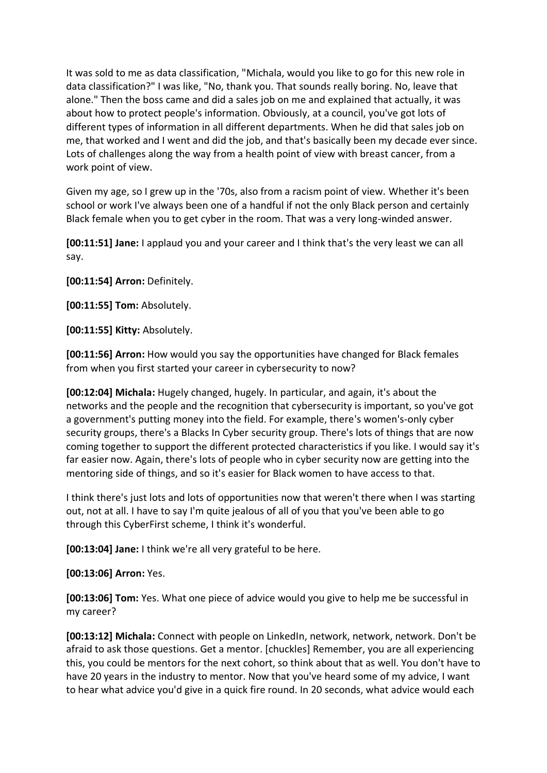It was sold to me as data classification, "Michala, would you like to go for this new role in data classification?" I was like, "No, thank you. That sounds really boring. No, leave that alone." Then the boss came and did a sales job on me and explained that actually, it was about how to protect people's information. Obviously, at a council, you've got lots of different types of information in all different departments. When he did that sales job on me, that worked and I went and did the job, and that's basically been my decade ever since. Lots of challenges along the way from a health point of view with breast cancer, from a work point of view.

Given my age, so I grew up in the '70s, also from a racism point of view. Whether it's been school or work I've always been one of a handful if not the only Black person and certainly Black female when you to get cyber in the room. That was a very long-winded answer.

**[00:11:51] Jane:** I applaud you and your career and I think that's the very least we can all say.

**[00:11:54] Arron:** Definitely.

**[00:11:55] Tom:** Absolutely.

**[00:11:55] Kitty:** Absolutely.

**[00:11:56] Arron:** How would you say the opportunities have changed for Black females from when you first started your career in cybersecurity to now?

**[00:12:04] Michala:** Hugely changed, hugely. In particular, and again, it's about the networks and the people and the recognition that cybersecurity is important, so you've got a government's putting money into the field. For example, there's women's-only cyber security groups, there's a Blacks In Cyber security group. There's lots of things that are now coming together to support the different protected characteristics if you like. I would say it's far easier now. Again, there's lots of people who in cyber security now are getting into the mentoring side of things, and so it's easier for Black women to have access to that.

I think there's just lots and lots of opportunities now that weren't there when I was starting out, not at all. I have to say I'm quite jealous of all of you that you've been able to go through this CyberFirst scheme, I think it's wonderful.

**[00:13:04] Jane:** I think we're all very grateful to be here.

**[00:13:06] Arron:** Yes.

**[00:13:06] Tom:** Yes. What one piece of advice would you give to help me be successful in my career?

**[00:13:12] Michala:** Connect with people on LinkedIn, network, network, network. Don't be afraid to ask those questions. Get a mentor. [chuckles] Remember, you are all experiencing this, you could be mentors for the next cohort, so think about that as well. You don't have to have 20 years in the industry to mentor. Now that you've heard some of my advice, I want to hear what advice you'd give in a quick fire round. In 20 seconds, what advice would each